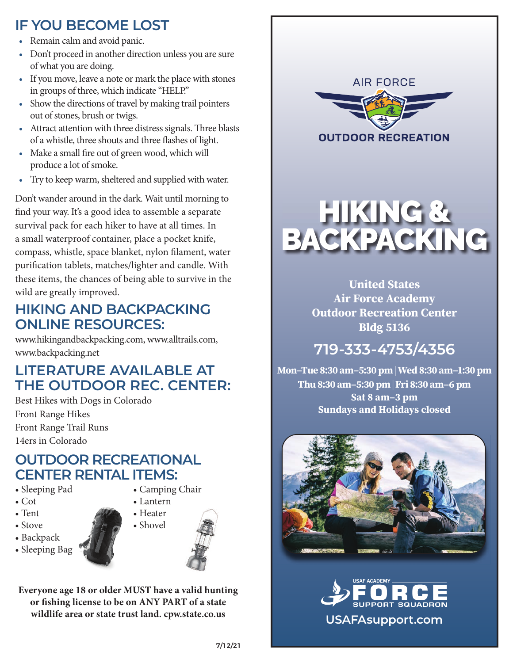# **IF YOU BECOME LOST**

- Remain calm and avoid panic.
- Don't proceed in another direction unless you are sure of what you are doing.
- If you move, leave a note or mark the place with stones in groups of three, which indicate "HELP."
- Show the directions of travel by making trail pointers out of stones, brush or twigs.
- Attract attention with three distress signals. Three blasts of a whistle, three shouts and three flashes of light.
- Make a small fire out of green wood, which will produce a lot of smoke.
- Try to keep warm, sheltered and supplied with water.

Don't wander around in the dark. Wait until morning to find your way. It's a good idea to assemble a separate survival pack for each hiker to have at all times. In a small waterproof container, place a pocket knife, compass, whistle, space blanket, nylon filament, water purification tablets, matches/lighter and candle. With these items, the chances of being able to survive in the wild are greatly improved.

#### **HIKING AND BACKPACKING ONLINE RESOURCES:**

www.hikingandbackpacking.com, www.alltrails.com, www.backpacking.net

## **LITERATURE AVAILABLE AT THE OUTDOOR REC. CENTER:**

Best Hikes with Dogs in Colorado Front Range Hikes Front Range Trail Runs 14ers in Colorado

### **OUTDOOR RECREATIONAL CENTER RENTAL ITEMS:**

- Sleeping Pad
- Cot
- Tent
- Stove
- Backpack
- Sleeping Bag





• Shovel



**Everyone age 18 or older MUST have a valid hunting or shing license to be on ANY PART of a state wildlife area or state trust land. cpw.state.co.us**



# **719-333-4753/4356**

**Mon–Tue 8:30 am–5:30 pm | Wed 8:30 am–1:30 pm Thu 8:30 am–5:30 pm | Fri 8:30 am–6 pm Sat 8 am–3 pm Sundays and Holidays closed**